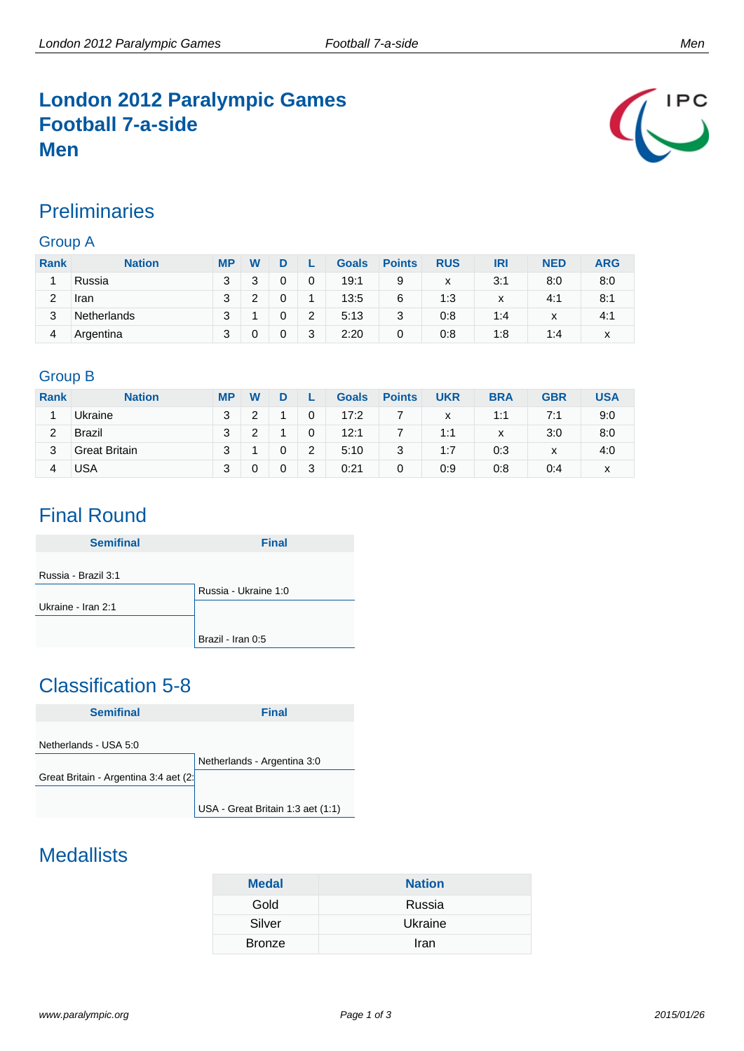### **London 2012 Paralympic Games Football 7-a-side Men**



#### **Preliminaries**

#### Group A

| <b>Rank</b> | <b>Nation</b> | <b>MP</b> | W |   |   | <b>Goals</b> | <b>Points</b> | <b>RUS</b> | IRI | <b>NED</b>   | <b>ARG</b> |
|-------------|---------------|-----------|---|---|---|--------------|---------------|------------|-----|--------------|------------|
|             | Russia        | 3         |   | 0 | 0 | 19:1         | 9             | x          | 3:1 | 8:0          | 8:0        |
| 2           | Iran          | 2         |   |   |   | 13:5         | 6             | 1:3        | x   | 4:1          | 8:1        |
| 3           | Netherlands   | 3         |   | 0 | 2 | 5:13         | 3             | 0:8        | 1:4 | $\checkmark$ | 4:1        |
| 4           | Argentina     | 2         |   |   | 3 | 2:20         | 0             | 0:8        | 1:8 | 1:4          | x          |

#### Group B

| <b>Rank</b> | <b>Nation</b>        | <b>MP</b> | W |   |   | <b>Goals</b> | <b>Points</b> | <b>UKR</b> | <b>BRA</b> | <b>GBR</b>   | USA |
|-------------|----------------------|-----------|---|---|---|--------------|---------------|------------|------------|--------------|-----|
|             | Ukraine              | 3         |   |   | 0 | 17:2         |               | x          | 1:1        | 7:1          | 9:0 |
| 2           | <b>Brazil</b>        | 3         |   |   | 0 | 12:1         |               | 1:1        | x          | 3:0          | 8:0 |
| 3           | <b>Great Britain</b> | 3         |   |   | 2 | 5:10         | 3             | 1:7        | 0:3        | $\checkmark$ | 4:0 |
|             | USA                  | 3         |   | 0 | 3 | 0:21         | 0             | 0:9        | 0:8        | 0:4          | x   |

### Final Round

| <b>Semifinal</b>    | <b>Final</b>         |
|---------------------|----------------------|
|                     |                      |
| Russia - Brazil 3:1 |                      |
|                     | Russia - Ukraine 1:0 |
| Ukraine - Iran 2:1  |                      |
|                     |                      |
|                     | Brazil - Iran 0:5    |

## Classification 5-8



### **Medallists**

| <b>Medal</b>  | <b>Nation</b> |
|---------------|---------------|
| Gold          | Russia        |
| Silver        | Ukraine       |
| <b>Bronze</b> | Iran          |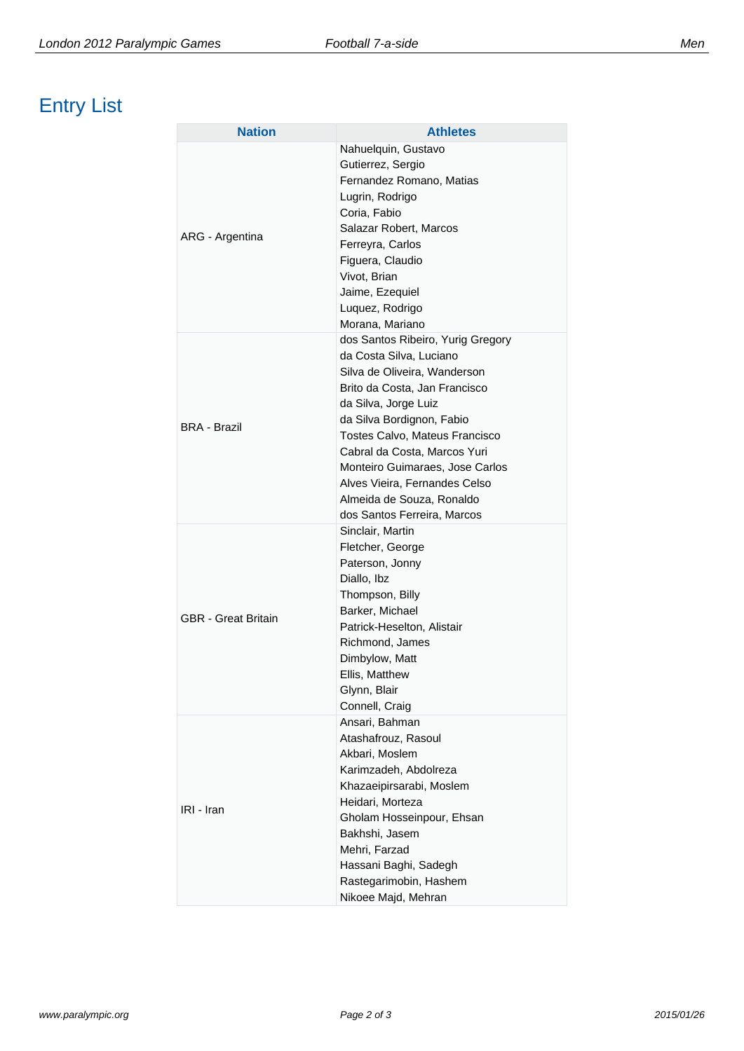# Entry List

| <b>Nation</b>              | <b>Athletes</b>                                                                                                                                                                                                                                                                                                                                                                      |
|----------------------------|--------------------------------------------------------------------------------------------------------------------------------------------------------------------------------------------------------------------------------------------------------------------------------------------------------------------------------------------------------------------------------------|
| ARG - Argentina            | Nahuelquin, Gustavo<br>Gutierrez, Sergio<br>Fernandez Romano, Matias<br>Lugrin, Rodrigo<br>Coria, Fabio<br>Salazar Robert, Marcos                                                                                                                                                                                                                                                    |
|                            | Ferreyra, Carlos<br>Figuera, Claudio<br>Vivot, Brian<br>Jaime, Ezequiel<br>Luquez, Rodrigo<br>Morana, Mariano                                                                                                                                                                                                                                                                        |
| <b>BRA - Brazil</b>        | dos Santos Ribeiro, Yurig Gregory<br>da Costa Silva, Luciano<br>Silva de Oliveira, Wanderson<br>Brito da Costa, Jan Francisco<br>da Silva, Jorge Luiz<br>da Silva Bordignon, Fabio<br>Tostes Calvo, Mateus Francisco<br>Cabral da Costa, Marcos Yuri<br>Monteiro Guimaraes, Jose Carlos<br>Alves Vieira, Fernandes Celso<br>Almeida de Souza, Ronaldo<br>dos Santos Ferreira, Marcos |
| <b>GBR</b> - Great Britain | Sinclair, Martin<br>Fletcher, George<br>Paterson, Jonny<br>Diallo, Ibz<br>Thompson, Billy<br>Barker, Michael<br>Patrick-Heselton, Alistair<br>Richmond, James<br>Dimbylow, Matt<br>Ellis, Matthew<br>Glynn, Blair<br>Connell, Craig                                                                                                                                                  |
| IRI - Iran                 | Ansari, Bahman<br>Atashafrouz, Rasoul<br>Akbari, Moslem<br>Karimzadeh, Abdolreza<br>Khazaeipirsarabi, Moslem<br>Heidari, Morteza<br>Gholam Hosseinpour, Ehsan<br>Bakhshi, Jasem<br>Mehri, Farzad<br>Hassani Baghi, Sadegh<br>Rastegarimobin, Hashem<br>Nikoee Majd, Mehran                                                                                                           |